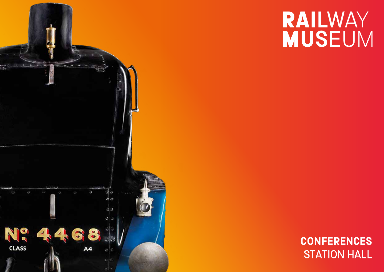

# RAILWAY **MUSEUM**

## **CONFERENCES** STATION HALL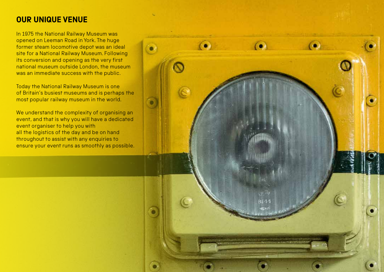## **OUR UNIQUE VENUE**

In 1975 the National Railway Museum was opened on Leeman Road in York. The huge former steam locomotive depot was an ideal site for a National Railway Museum. Following its conversion and opening as the very first national museum outside London, the museum was an immediate success with the public.

Today the National Railway Museum is one of Britain's busiest museums and is perhaps the most popular railway museum in the world.

We understand the complexity of organising an event, and that is why you will have a dedicated event organiser to help you with all the logistics of the day and be on hand throughout to assist with any enquiries to ensure your event runs as smoothly as possible.

**B144**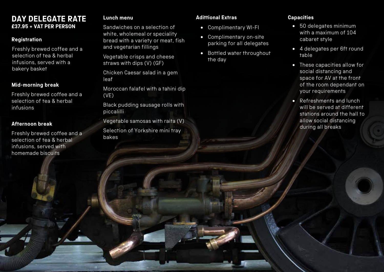### **DAY DELEGATE RATE £37.95 + VAT PER PERSON**

#### **Registration**

Freshly brewed coffee and a selection of tea & herbal infusions, served with a bakery basket

#### **Mid-morning break**

Freshly brewed coffee and a selection of tea & herbal infusions

#### **Afternoon break**

Freshly brewed coffee and a selection of tea & herbal infusions, served with homemade biscuits

#### **Lunch menu**

Sandwiches on a selection of white, wholemeal or speciality bread with a variety or meat, fish and vegetarian fillings

Vegetable crisps and cheese straws with dips (V) (GF)

Chicken Caesar salad in a gem leaf

Moroccan falafel with a tahini dip (VE)

Black pudding sausage rolls with piccalilli

Vegetable samosas with raita (V) Selection of Yorkshire mini tray bakes

#### **Adittional Extras**

- Complimentary WI-FI
- Complimentary on-site parking for all delegates
- Bottled water throughout the day

#### **Capacities**

- 50 delegates minimum with a maximum of 104 cabaret style
- 4 delegates per 6ft round table
- These capacities allow for social distancing and space for AV at the front of the room dependant on your requirements
- Refreshments and lunch will be served at different stations around the hall to allow social distancing during all breaks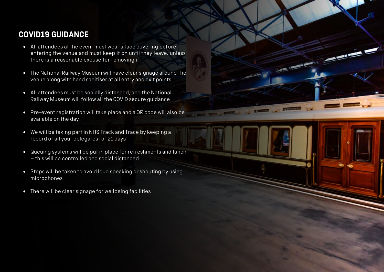## **COVID19 GUIDANCE**

- All attendees at the event must wear a face covering before entering the venue and must keep it on until they leave, unless there is a reasonable excuse for removing it
- The National Railway Museum will have clear signage around the venue along with hand sanitiser at all entry and exit points
- All attendees must be socially distanced, and the National Railway Museum will follow all the COVID secure guidance
- Pre-event registration will take place and a QR code will also be available on the day
- We will be taking part in NHS Track and Trace by keeping a record of all your delegates for 21 days
- Queuing systems will be put in place for refreshments and lunch – this will be controlled and social distanced
- Steps will be taken to avoid loud speaking or shouting by using microphones
- There will be clear signage for wellbeing facilities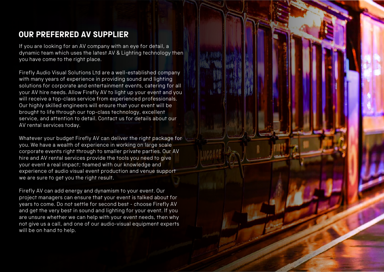## **OUR PREFERRED AV SUPPLIER**

If you are looking for an AV company with an eye for detail, a dynamic team which uses the latest AV & Lighting technology then you have come to the right place.

Firefly Audio Visual Solutions Ltd are a well-established company with many years of experience in providing sound and lighting solutions for corporate and entertainment events, catering for all your AV hire needs. Allow Firefly AV to light up your event and you will receive a top-class service from experienced professionals. Our highly skilled engineers will ensure that your event will be brought to life through our top-class technology, excellent service, and attention to detail. Contact us for details about our AV rental services today.

Whatever your budget Firefly AV can deliver the right package for you. We have a wealth of experience in working on large scale corporate events right through to smaller private parties. Our AV hire and AV rental services provide the tools you need to give your event a real impact; teamed with our knowledge and experience of audio visual event production and venue support we are sure to get you the right result.

Firefly AV can add energy and dynamism to your event. Our project managers can ensure that your event is talked about for years to come. Do not settle for second best - choose Firefly AV and get the very best in sound and lighting for your event. If you are unsure whether we can help with your event needs, then why not give us a call, and one of our audio-visual equipment experts will be on hand to help.